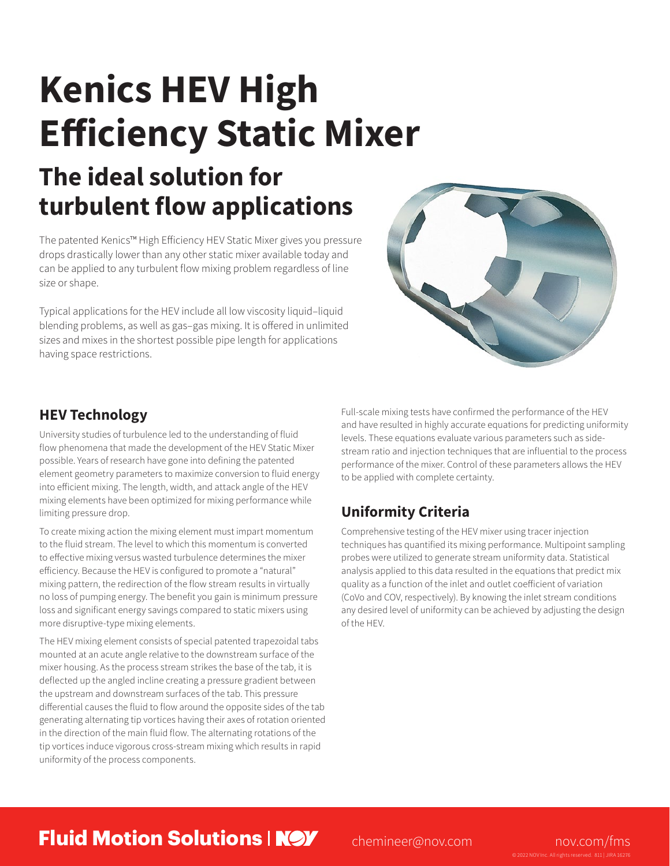# **Kenics HEV High Efficiency Static Mixer The ideal solution for**

## **turbulent flow applications**

The patented Kenics™ High Efficiency HEV Static Mixer gives you pressure drops drastically lower than any other static mixer available today and can be applied to any turbulent flow mixing problem regardless of line size or shape.

Typical applications for the HEV include all low viscosity liquid–liquid blending problems, as well as gas–gas mixing. It is offered in unlimited sizes and mixes in the shortest possible pipe length for applications having space restrictions.



## **HEV Technology**

University studies of turbulence led to the understanding of fluid flow phenomena that made the development of the HEV Static Mixer possible. Years of research have gone into defining the patented element geometry parameters to maximize conversion to fluid energy into efficient mixing. The length, width, and attack angle of the HEV mixing elements have been optimized for mixing performance while limiting pressure drop.

To create mixing action the mixing element must impart momentum to the fluid stream. The level to which this momentum is converted to effective mixing versus wasted turbulence determines the mixer efficiency. Because the HEV is configured to promote a "natural" mixing pattern, the redirection of the flow stream results in virtually no loss of pumping energy. The benefit you gain is minimum pressure loss and significant energy savings compared to static mixers using more disruptive-type mixing elements.

The HEV mixing element consists of special patented trapezoidal tabs mounted at an acute angle relative to the downstream surface of the mixer housing. As the process stream strikes the base of the tab, it is deflected up the angled incline creating a pressure gradient between the upstream and downstream surfaces of the tab. This pressure differential causes the fluid to flow around the opposite sides of the tab generating alternating tip vortices having their axes of rotation oriented in the direction of the main fluid flow. The alternating rotations of the tip vortices induce vigorous cross-stream mixing which results in rapid uniformity of the process components.

Full-scale mixing tests have confirmed the performance of the HEV and have resulted in highly accurate equations for predicting uniformity levels. These equations evaluate various parameters such as sidestream ratio and injection techniques that are influential to the process performance of the mixer. Control of these parameters allows the HEV to be applied with complete certainty.

## **Uniformity Criteria**

Comprehensive testing of the HEV mixer using tracer injection techniques has quantified its mixing performance. Multipoint sampling probes were utilized to generate stream uniformity data. Statistical analysis applied to this data resulted in the equations that predict mix quality as a function of the inlet and outlet coefficient of variation (CoVo and COV, respectively). By knowing the inlet stream conditions any desired level of uniformity can be achieved by adjusting the design of the HEV.

## **Fluid Motion Solutions | NOV** [chemineer@nov.com](mailto:chemineer%40nov.com?subject=) [nov.com/fms](http://www.nov.com/fms)